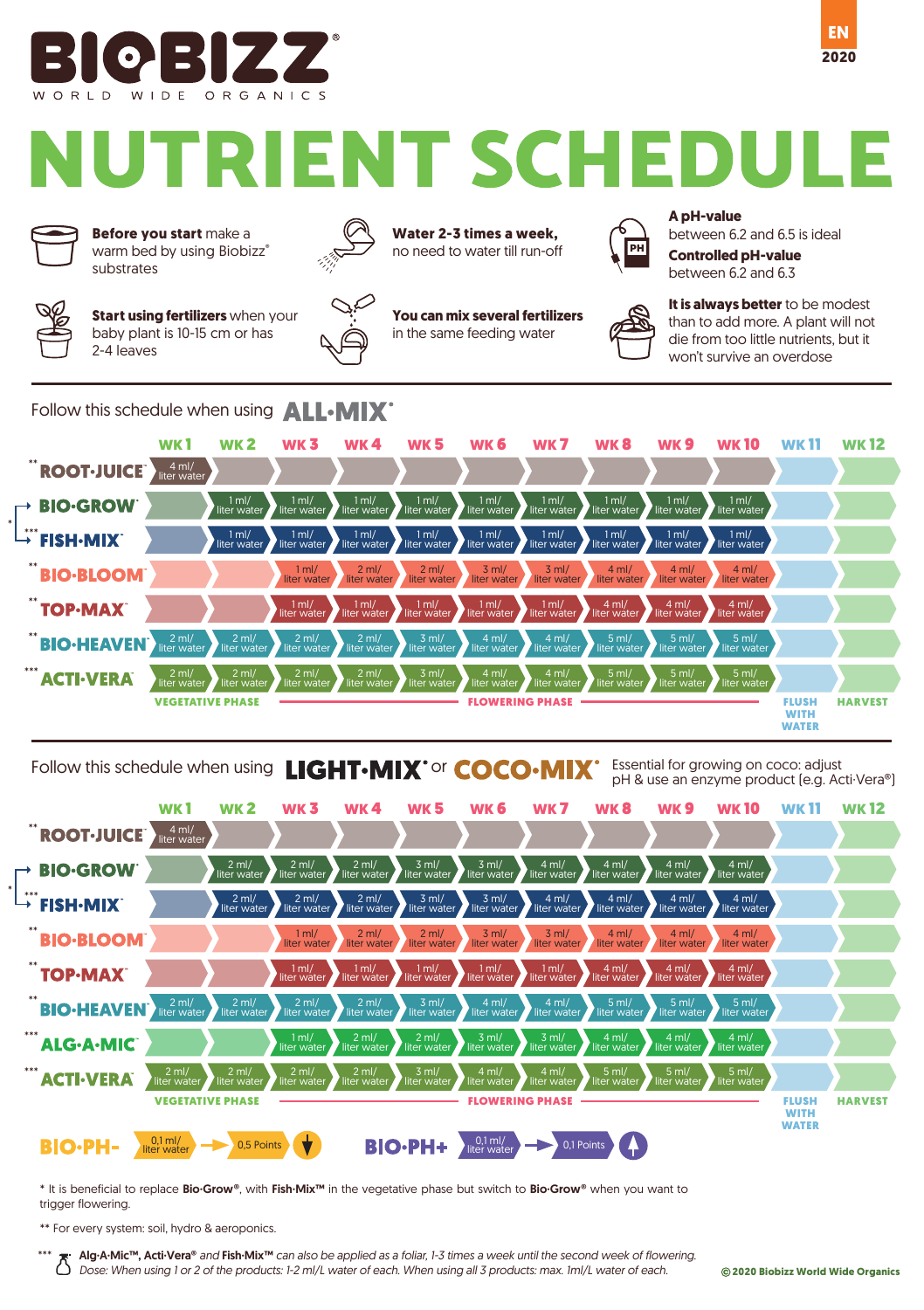

# **TRIENT SCHEDULE**



**Before you start** make a warm bed by using Biobizz® **Controlled pH-value**<br>substrates **Controlled pH-value** 

**Start using fertilizers** when your baby plant is 10-15 cm or has 2-4 leaves



**Water 2-3 times a week,** no need to water till run-off

**You can mix several fertilizers** in the same feeding water



**A pH-value**

between 6.2 and 6.5 is ideal

between 6.2 and 6.3

**EN**

**2020**



**It is always better** to be modest than to add more. A plant will not die from too little nutrients, but it won't survive an overdose

Follow this schedule when using **ALL-MIX** 



## Follow this schedule when using **LIGHT·MIX**<sup>+</sup> or **COCO·MIX**<sup>+</sup> Essential for growing on coco: adjust

pH & use an enzyme product (e.g. Acti·Vera®)



\* It is beneficial to replace Bio·Grow®, with Fish·Mix™ in the vegetative phase but switch to Bio·Grow® when you want to trigger flowering.

\*\* For every system: soil, hydro & aeroponics.

\*\*\*

Alg·A·Mic™, Acti·Vera® *and* Fish·Mix™ *can also be applied as a foliar, 1-3 times a week until the second week of flowering. Dose: When using 1 or 2 of the products: 1-2 ml/L water of each. When using all 3 products: max. 1ml/L water of each.*